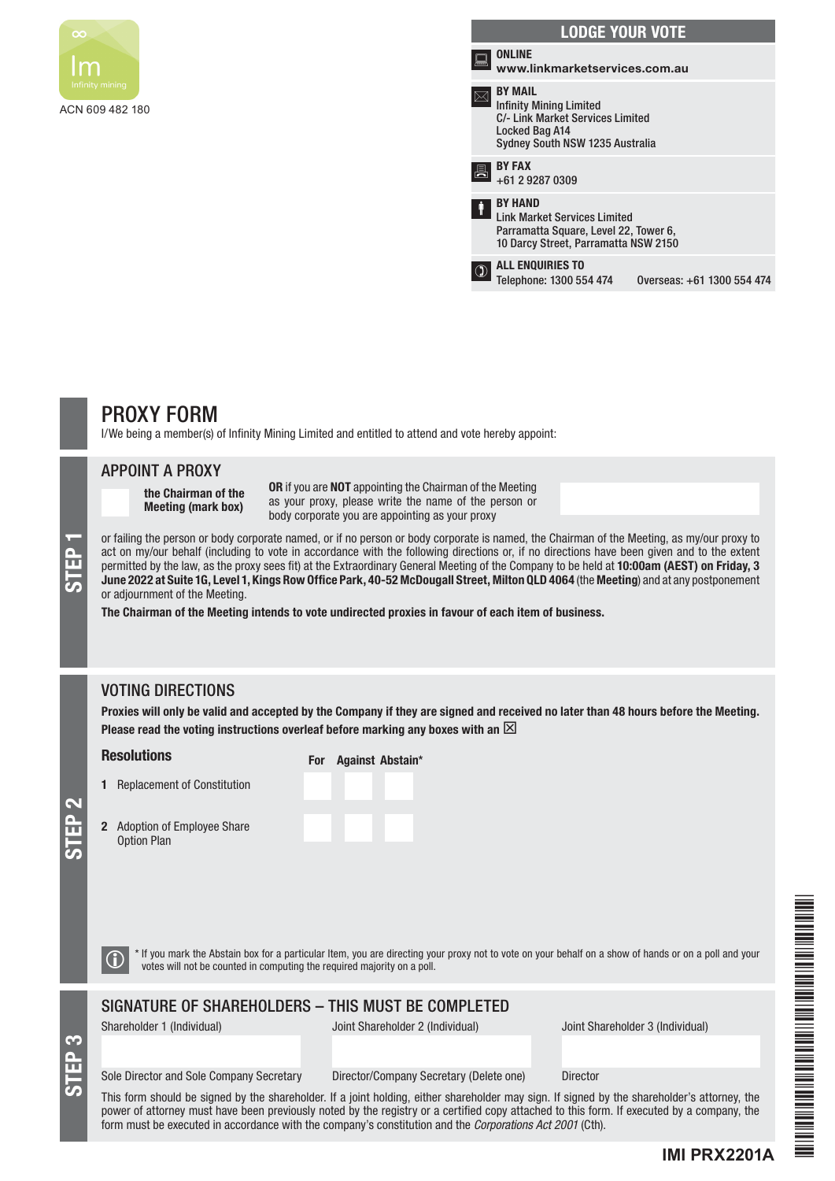

| <b>LODGE YOUR VOTE</b>                                                                                                                    |                                                                                                                                        |                            |  |  |  |
|-------------------------------------------------------------------------------------------------------------------------------------------|----------------------------------------------------------------------------------------------------------------------------------------|----------------------------|--|--|--|
| بيبيل                                                                                                                                     | <b>ONLINE</b><br>www.linkmarketservices.com.au                                                                                         |                            |  |  |  |
| <b>BY MAIL</b><br><b>Infinity Mining Limited</b><br>C/- Link Market Services Limited<br>Locked Bag A14<br>Sydney South NSW 1235 Australia |                                                                                                                                        |                            |  |  |  |
| 昌                                                                                                                                         | <b>BY FAX</b><br>+61 2 9287 0309                                                                                                       |                            |  |  |  |
| Ŷ                                                                                                                                         | <b>BY HAND</b><br><b>Link Market Services Limited</b><br>Parramatta Square, Level 22, Tower 6,<br>10 Darcy Street, Parramatta NSW 2150 |                            |  |  |  |
|                                                                                                                                           | <b>ALL ENQUIRIES TO</b><br>Telephone: 1300 554 474                                                                                     | Overseas: +61 1300 554 474 |  |  |  |

# PROXY FORM

I/We being a member(s) of Infinity Mining Limited and entitled to attend and vote hereby appoint:

#### APPOINT A PROXY

the Chairman of the Meeting (mark box)

OR if you are NOT appointing the Chairman of the Meeting as your proxy, please write the name of the person or body corporate you are appointing as your proxy

or failing the person or body corporate named, or if no person or body corporate is named, the Chairman of the Meeting, as my/our proxy to act on my/our behalf (including to vote in accordance with the following directions act on my/our behalf (including to vote in accordance with the following directions or, if no directions have been given and to the extent permitted by the law, as the proxy sees fit) at the Extraordinary General Meeting of the Company to be held at 10:00am (AEST) on Friday, 3 June 2022 at Suite 1G, Level 1, Kings Row Office Park, 40-52 McDougall Street, Milton QLD 4064 (the Meeting) and at any postponement or adjournment of the Meeting.

The Chairman of the Meeting intends to vote undirected proxies in favour of each item of business.

### VOTING DIRECTIONS

Proxies will only be valid and accepted by the Company if they are signed and received no later than 48 hours before the Meeting. Please read the voting instructions overleaf before marking any boxes with an  $\boxtimes$ 

#### **Resolutions**

- 1 Replacement of Constitution
	-

|  | For Against Abstain* |  |
|--|----------------------|--|
|  |                      |  |

2 Adoption of Employee Share Option Plan

| <b>Adoption of Employee Share</b> |  |
|-----------------------------------|--|
| <b>Option Plan</b>                |  |

| <b>For</b> Against Abstai |  |
|---------------------------|--|
|                           |  |
|                           |  |
|                           |  |

STEP 3

STEP 2

 $\bigcirc$  \* If you mark the Abstain box for a particular Item, you are directing your proxy not to vote on your behalf on a show of hands or on a poll and your votes will not be counted in computing the required majority on a

### SIGNATURE OF SHAREHOLDERS – THIS MUST BE COMPLETED

Shareholder 1 (Individual) Joint Shareholder 2 (Individual) Joint Shareholder 3 (Individual)

#### Sole Director and Sole Company Secretary Director/Company Secretary (Delete one) Director

This form should be signed by the shareholder. If a joint holding, either shareholder may sign. If signed by the shareholder's attorney, the power of attorney must have been previously noted by the registry or a certified copy attached to this form. If executed by a company, the form must be executed in accordance with the company's constitution and the *Corporations Act 2001* (Cth).